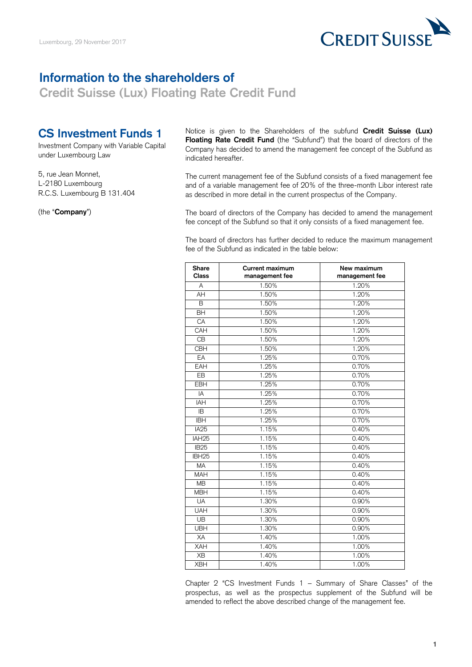

## **Information to the shareholders of**

**Credit Suisse (Lux) Floating Rate Credit Fund** 

## **CS Investment Funds 1**

Investment Company with Variable Capital under Luxembourg Law

5, rue Jean Monnet, L-2180 Luxembourg R.C.S. Luxembourg B 131.404

(the "**Company**")

 Notice is given to the Shareholders of the subfund **Credit Suisse (Lux) Floating Rate Credit Fund** (the "Subfund") that the board of directors of the Company has decided to amend the management fee concept of the Subfund as indicated hereafter.

 and of a variable management fee of 20% of the three-month Libor interest rate as described in more detail in the current prospectus of the Company. The current management fee of the Subfund consists of a fixed management fee

 The board of directors of the Company has decided to amend the management fee concept of the Subfund so that it only consists of a fixed management fee.

 The board of directors has further decided to reduce the maximum management fee of the Subfund as indicated in the table below:

| <b>Share</b><br>Class | <b>Current maximum</b><br>management fee | New maximum<br>management fee |
|-----------------------|------------------------------------------|-------------------------------|
| A                     | 1.50%                                    | 1.20%                         |
| AH                    | 1.50%                                    | 1.20%                         |
| B                     | 1.50%                                    | 1.20%                         |
| $\overline{BH}$       | 1.50%                                    | 1.20%                         |
| CA                    | 1.50%                                    | 1.20%                         |
| CAH                   | 1.50%                                    | 1.20%                         |
| C <sub>B</sub>        | 1.50%                                    | 1.20%                         |
| CBH                   | 1.50%                                    | 1.20%                         |
| EA                    | 1.25%                                    | 0.70%                         |
| EAH                   | 1.25%                                    | 0.70%                         |
| $E$ B                 | 1.25%                                    | 0.70%                         |
| <b>EBH</b>            | 1.25%                                    | 0.70%                         |
| IA                    | 1.25%                                    | 0.70%                         |
| IAH                   | 1.25%                                    | 0.70%                         |
| IB                    | 1.25%                                    | 0.70%                         |
| <b>IBH</b>            | 1.25%                                    | 0.70%                         |
| IA <sub>25</sub>      | 1.15%                                    | 0.40%                         |
| IAH <sub>25</sub>     | 1.15%                                    | 0.40%                         |
| IB <sub>25</sub>      | 1.15%                                    | 0.40%                         |
| IBH <sub>25</sub>     | 1.15%                                    | 0.40%                         |
| MA                    | 1.15%                                    | 0.40%                         |
| <b>MAH</b>            | 1.15%                                    | 0.40%                         |
| <b>MB</b>             | 1.15%                                    | 0.40%                         |
| <b>MBH</b>            | 1.15%                                    | 0.40%                         |
| <b>UA</b>             | 1.30%                                    | 0.90%                         |
| <b>UAH</b>            | 1.30%                                    | 0.90%                         |
| UB                    | 1.30%                                    | 0.90%                         |
| <b>UBH</b>            | 1.30%                                    | 0.90%                         |
| XA                    | 1.40%                                    | 1.00%                         |
| XAH                   | 1.40%                                    | 1.00%                         |
| XB                    | 1.40%                                    | 1.00%                         |
| <b>XBH</b>            | 1.40%                                    | 1.00%                         |

 Chapter 2 "CS Investment Funds 1 – Summary of Share Classes" of the prospectus, as well as the prospectus supplement of the Subfund will be amended to reflect the above described change of the management fee.